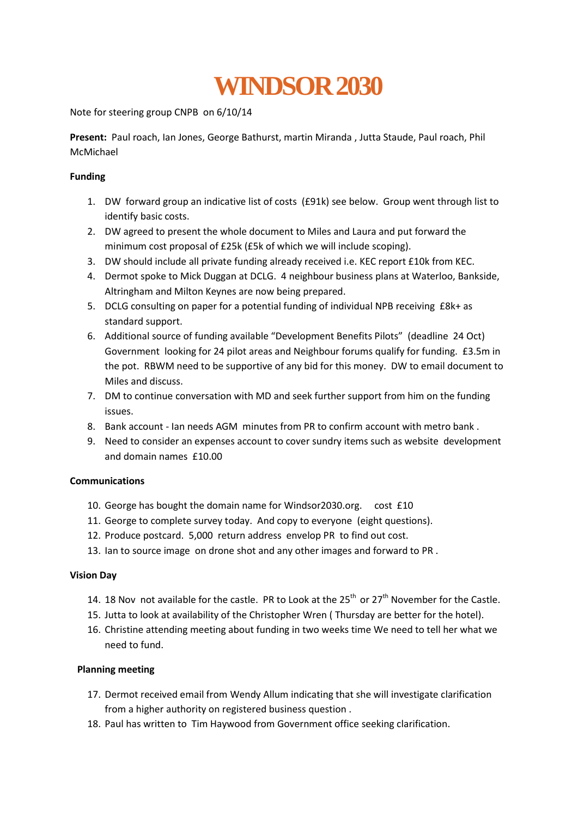# **[WINDSOR 2030](http://cwnpb.org/)**

Note for steering group CNPB on 6/10/14

**Present:** Paul roach, Ian Jones, George Bathurst, martin Miranda , Jutta Staude, Paul roach, Phil McMichael

# **Funding**

- 1. DW forward group an indicative list of costs (£91k) see below. Group went through list to identify basic costs.
- 2. DW agreed to present the whole document to Miles and Laura and put forward the minimum cost proposal of £25k (£5k of which we will include scoping).
- 3. DW should include all private funding already received i.e. KEC report £10k from KEC.
- 4. Dermot spoke to Mick Duggan at DCLG. 4 neighbour business plans at Waterloo, Bankside, Altringham and Milton Keynes are now being prepared.
- 5. DCLG consulting on paper for a potential funding of individual NPB receiving £8k+ as standard support.
- 6. Additional source of funding available "Development Benefits Pilots" (deadline 24 Oct) Government looking for 24 pilot areas and Neighbour forums qualify for funding. £3.5m in the pot. RBWM need to be supportive of any bid for this money. DW to email document to Miles and discuss.
- 7. DM to continue conversation with MD and seek further support from him on the funding issues.
- 8. Bank account Ian needs AGM minutes from PR to confirm account with metro bank .
- 9. Need to consider an expenses account to cover sundry items such as website development and domain names £10.00

# **Communications**

- 10. George has bought the domain name for Windsor2030.org. cost £10
- 11. George to complete survey today. And copy to everyone (eight questions).
- 12. Produce postcard. 5,000 return address envelop PR to find out cost.
- 13. Ian to source image on drone shot and any other images and forward to PR .

#### **Vision Day**

- 14. 18 Nov not available for the castle. PR to Look at the  $25<sup>th</sup>$  or  $27<sup>th</sup>$  November for the Castle.
- 15. Jutta to look at availability of the Christopher Wren ( Thursday are better for the hotel).
- 16. Christine attending meeting about funding in two weeks time We need to tell her what we need to fund.

# **Planning meeting**

- 17. Dermot received email from Wendy Allum indicating that she will investigate clarification from a higher authority on registered business question .
- 18. Paul has written to Tim Haywood from Government office seeking clarification.